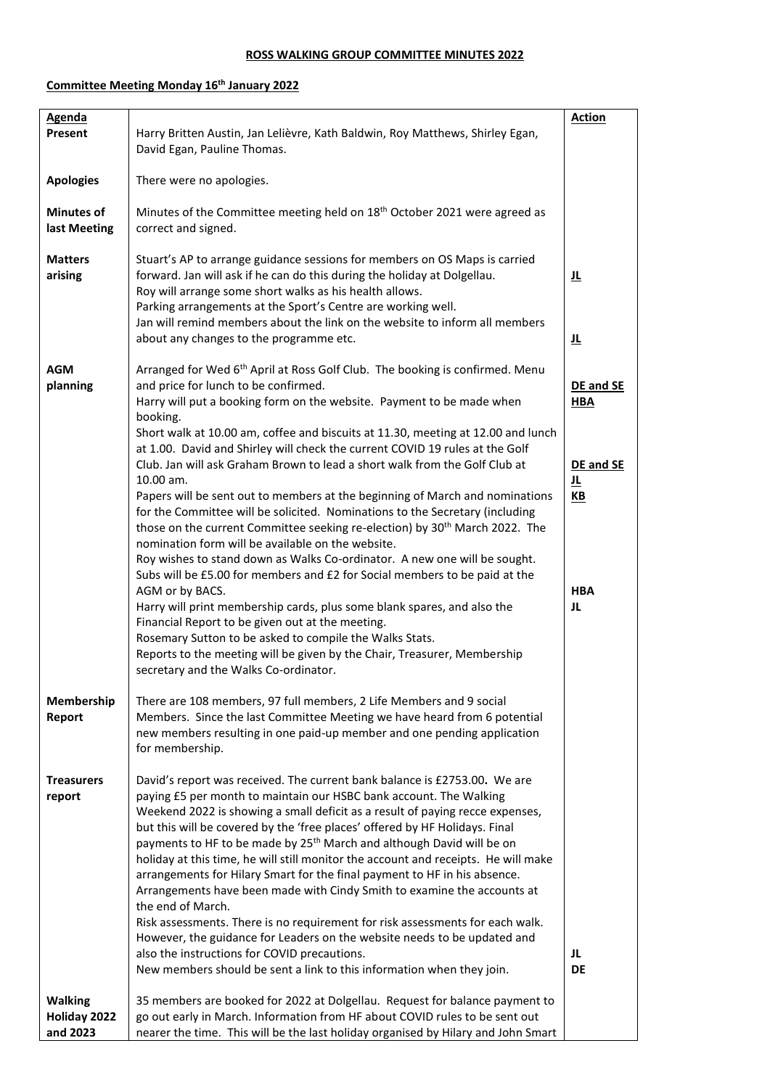## **ROSS WALKING GROUP COMMITTEE MINUTES 2022**

## **Committee Meeting Monday 16 th January 2022**

| <b>Agenda</b>                              |                                                                                                                                                                                                                                                                                                                                                                                                                                                                                                                                                                                                                                                                                                                                                                                                                                                                                                                                                                                                                                                                                                                                                                                                                                                                                                   | <b>Action</b>                                                          |
|--------------------------------------------|---------------------------------------------------------------------------------------------------------------------------------------------------------------------------------------------------------------------------------------------------------------------------------------------------------------------------------------------------------------------------------------------------------------------------------------------------------------------------------------------------------------------------------------------------------------------------------------------------------------------------------------------------------------------------------------------------------------------------------------------------------------------------------------------------------------------------------------------------------------------------------------------------------------------------------------------------------------------------------------------------------------------------------------------------------------------------------------------------------------------------------------------------------------------------------------------------------------------------------------------------------------------------------------------------|------------------------------------------------------------------------|
| Present                                    | Harry Britten Austin, Jan Lelièvre, Kath Baldwin, Roy Matthews, Shirley Egan,<br>David Egan, Pauline Thomas.                                                                                                                                                                                                                                                                                                                                                                                                                                                                                                                                                                                                                                                                                                                                                                                                                                                                                                                                                                                                                                                                                                                                                                                      |                                                                        |
| <b>Apologies</b>                           | There were no apologies.                                                                                                                                                                                                                                                                                                                                                                                                                                                                                                                                                                                                                                                                                                                                                                                                                                                                                                                                                                                                                                                                                                                                                                                                                                                                          |                                                                        |
| <b>Minutes of</b><br>last Meeting          | Minutes of the Committee meeting held on 18 <sup>th</sup> October 2021 were agreed as<br>correct and signed.                                                                                                                                                                                                                                                                                                                                                                                                                                                                                                                                                                                                                                                                                                                                                                                                                                                                                                                                                                                                                                                                                                                                                                                      |                                                                        |
| <b>Matters</b><br>arising                  | Stuart's AP to arrange guidance sessions for members on OS Maps is carried<br>forward. Jan will ask if he can do this during the holiday at Dolgellau.<br>Roy will arrange some short walks as his health allows.<br>Parking arrangements at the Sport's Centre are working well.<br>Jan will remind members about the link on the website to inform all members<br>about any changes to the programme etc.                                                                                                                                                                                                                                                                                                                                                                                                                                                                                                                                                                                                                                                                                                                                                                                                                                                                                       | 旦<br>旦                                                                 |
| AGM<br>planning                            | Arranged for Wed 6 <sup>th</sup> April at Ross Golf Club. The booking is confirmed. Menu<br>and price for lunch to be confirmed.<br>Harry will put a booking form on the website. Payment to be made when<br>booking.<br>Short walk at 10.00 am, coffee and biscuits at 11.30, meeting at 12.00 and lunch<br>at 1.00. David and Shirley will check the current COVID 19 rules at the Golf<br>Club. Jan will ask Graham Brown to lead a short walk from the Golf Club at<br>10.00 am.<br>Papers will be sent out to members at the beginning of March and nominations<br>for the Committee will be solicited. Nominations to the Secretary (including<br>those on the current Committee seeking re-election) by 30 <sup>th</sup> March 2022. The<br>nomination form will be available on the website.<br>Roy wishes to stand down as Walks Co-ordinator. A new one will be sought.<br>Subs will be £5.00 for members and £2 for Social members to be paid at the<br>AGM or by BACS.<br>Harry will print membership cards, plus some blank spares, and also the<br>Financial Report to be given out at the meeting.<br>Rosemary Sutton to be asked to compile the Walks Stats.<br>Reports to the meeting will be given by the Chair, Treasurer, Membership<br>secretary and the Walks Co-ordinator. | DE and SE<br><b>HBA</b><br>DE and SE<br>止<br>$K$ B<br><b>HBA</b><br>JL |
| Membership<br>Report                       | There are 108 members, 97 full members, 2 Life Members and 9 social<br>Members. Since the last Committee Meeting we have heard from 6 potential<br>new members resulting in one paid-up member and one pending application<br>for membership.                                                                                                                                                                                                                                                                                                                                                                                                                                                                                                                                                                                                                                                                                                                                                                                                                                                                                                                                                                                                                                                     |                                                                        |
| <b>Treasurers</b><br>report                | David's report was received. The current bank balance is £2753.00. We are<br>paying £5 per month to maintain our HSBC bank account. The Walking<br>Weekend 2022 is showing a small deficit as a result of paying recce expenses,<br>but this will be covered by the 'free places' offered by HF Holidays. Final<br>payments to HF to be made by 25 <sup>th</sup> March and although David will be on<br>holiday at this time, he will still monitor the account and receipts. He will make<br>arrangements for Hilary Smart for the final payment to HF in his absence.<br>Arrangements have been made with Cindy Smith to examine the accounts at<br>the end of March.<br>Risk assessments. There is no requirement for risk assessments for each walk.<br>However, the guidance for Leaders on the website needs to be updated and<br>also the instructions for COVID precautions.<br>New members should be sent a link to this information when they join.                                                                                                                                                                                                                                                                                                                                     | JL<br><b>DE</b>                                                        |
| <b>Walking</b><br>Holiday 2022<br>and 2023 | 35 members are booked for 2022 at Dolgellau. Request for balance payment to<br>go out early in March. Information from HF about COVID rules to be sent out<br>nearer the time. This will be the last holiday organised by Hilary and John Smart                                                                                                                                                                                                                                                                                                                                                                                                                                                                                                                                                                                                                                                                                                                                                                                                                                                                                                                                                                                                                                                   |                                                                        |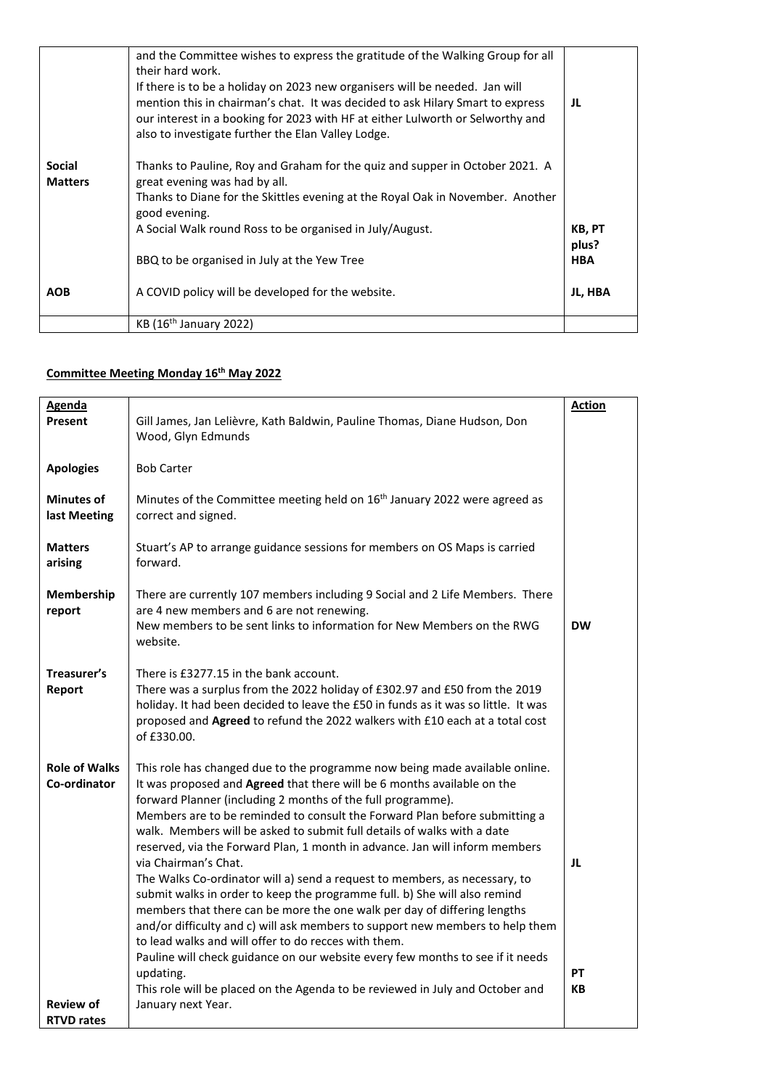|                                 | and the Committee wishes to express the gratitude of the Walking Group for all<br>their hard work.<br>If there is to be a holiday on 2023 new organisers will be needed. Jan will<br>mention this in chairman's chat. It was decided to ask Hilary Smart to express<br>our interest in a booking for 2023 with HF at either Lulworth or Selworthy and<br>also to investigate further the Elan Valley Lodge. | JL                            |
|---------------------------------|-------------------------------------------------------------------------------------------------------------------------------------------------------------------------------------------------------------------------------------------------------------------------------------------------------------------------------------------------------------------------------------------------------------|-------------------------------|
| <b>Social</b><br><b>Matters</b> | Thanks to Pauline, Roy and Graham for the quiz and supper in October 2021. A<br>great evening was had by all.<br>Thanks to Diane for the Skittles evening at the Royal Oak in November. Another<br>good evening.                                                                                                                                                                                            |                               |
|                                 | A Social Walk round Ross to be organised in July/August.<br>BBQ to be organised in July at the Yew Tree                                                                                                                                                                                                                                                                                                     | KB, PT<br>plus?<br><b>HBA</b> |
| <b>AOB</b>                      | A COVID policy will be developed for the website.                                                                                                                                                                                                                                                                                                                                                           | JL, HBA                       |
|                                 | KB (16 <sup>th</sup> January 2022)                                                                                                                                                                                                                                                                                                                                                                          |                               |

## **Committee Meeting Monday 16 th May 2022**

| <b>Agenda</b>                         |                                                                                                                                                                                                                                                                                                                                                                                                                                                                                                                                                                                                                                                                                                                                                                                                                                                                                                                                                                                                                                                       | <b>Action</b>  |
|---------------------------------------|-------------------------------------------------------------------------------------------------------------------------------------------------------------------------------------------------------------------------------------------------------------------------------------------------------------------------------------------------------------------------------------------------------------------------------------------------------------------------------------------------------------------------------------------------------------------------------------------------------------------------------------------------------------------------------------------------------------------------------------------------------------------------------------------------------------------------------------------------------------------------------------------------------------------------------------------------------------------------------------------------------------------------------------------------------|----------------|
| Present                               | Gill James, Jan Lelièvre, Kath Baldwin, Pauline Thomas, Diane Hudson, Don<br>Wood, Glyn Edmunds                                                                                                                                                                                                                                                                                                                                                                                                                                                                                                                                                                                                                                                                                                                                                                                                                                                                                                                                                       |                |
| <b>Apologies</b>                      | <b>Bob Carter</b>                                                                                                                                                                                                                                                                                                                                                                                                                                                                                                                                                                                                                                                                                                                                                                                                                                                                                                                                                                                                                                     |                |
| <b>Minutes of</b><br>last Meeting     | Minutes of the Committee meeting held on 16 <sup>th</sup> January 2022 were agreed as<br>correct and signed.                                                                                                                                                                                                                                                                                                                                                                                                                                                                                                                                                                                                                                                                                                                                                                                                                                                                                                                                          |                |
| <b>Matters</b><br>arising             | Stuart's AP to arrange guidance sessions for members on OS Maps is carried<br>forward.                                                                                                                                                                                                                                                                                                                                                                                                                                                                                                                                                                                                                                                                                                                                                                                                                                                                                                                                                                |                |
| Membership<br>report                  | There are currently 107 members including 9 Social and 2 Life Members. There<br>are 4 new members and 6 are not renewing.<br>New members to be sent links to information for New Members on the RWG<br>website.                                                                                                                                                                                                                                                                                                                                                                                                                                                                                                                                                                                                                                                                                                                                                                                                                                       | <b>DW</b>      |
| Treasurer's<br>Report                 | There is £3277.15 in the bank account.<br>There was a surplus from the 2022 holiday of £302.97 and £50 from the 2019<br>holiday. It had been decided to leave the £50 in funds as it was so little. It was<br>proposed and Agreed to refund the 2022 walkers with £10 each at a total cost<br>of £330.00.                                                                                                                                                                                                                                                                                                                                                                                                                                                                                                                                                                                                                                                                                                                                             |                |
| <b>Role of Walks</b><br>Co-ordinator  | This role has changed due to the programme now being made available online.<br>It was proposed and Agreed that there will be 6 months available on the<br>forward Planner (including 2 months of the full programme).<br>Members are to be reminded to consult the Forward Plan before submitting a<br>walk. Members will be asked to submit full details of walks with a date<br>reserved, via the Forward Plan, 1 month in advance. Jan will inform members<br>via Chairman's Chat.<br>The Walks Co-ordinator will a) send a request to members, as necessary, to<br>submit walks in order to keep the programme full. b) She will also remind<br>members that there can be more the one walk per day of differing lengths<br>and/or difficulty and c) will ask members to support new members to help them<br>to lead walks and will offer to do recces with them.<br>Pauline will check guidance on our website every few months to see if it needs<br>updating.<br>This role will be placed on the Agenda to be reviewed in July and October and | JL<br>PT<br>КB |
| <b>Review of</b><br><b>RTVD rates</b> | January next Year.                                                                                                                                                                                                                                                                                                                                                                                                                                                                                                                                                                                                                                                                                                                                                                                                                                                                                                                                                                                                                                    |                |